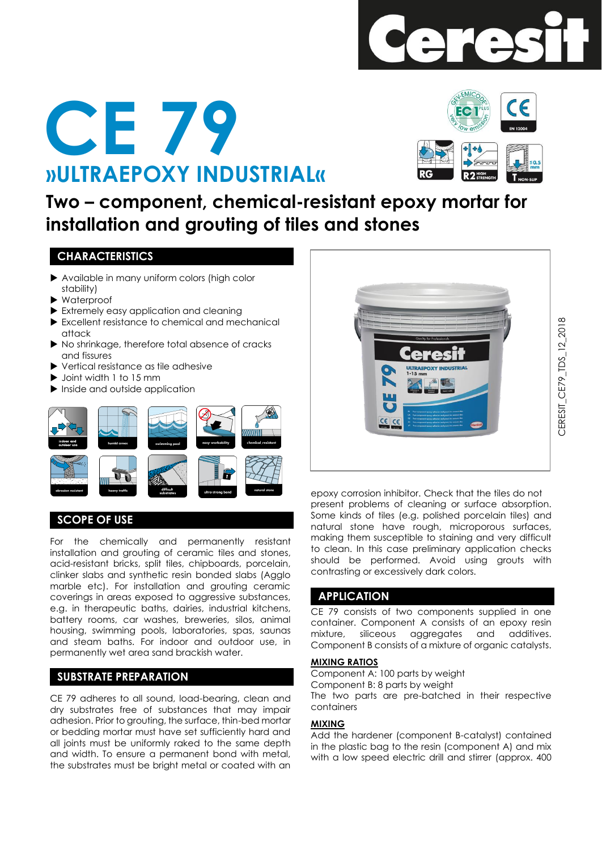





**Two – component, chemical-resistant epoxy mortar for installation and grouting of tiles and stones**

## **CHARACTERISTICS**

- Available in many uniform colors (high color stability)
- Waterproof
- Extremely easy application and cleaning
- Excellent resistance to chemical and mechanical attack
- $\blacktriangleright$  No shrinkage, therefore total absence of cracks and fissures
- ▶ Vertical resistance as tile adhesive
- $\blacktriangleright$  Joint width 1 to 15 mm
- Inside and outside application



# **SCOPE OF USE**

For the chemically and permanently resistant installation and grouting of ceramic tiles and stones, acid-resistant bricks, split tiles, chipboards, porcelain, clinker slabs and synthetic resin bonded slabs (Agglo marble etc). For installation and grouting ceramic coverings in areas exposed to aggressive substances, e.g. in therapeutic baths, dairies, industrial kitchens, battery rooms, car washes, breweries, silos, animal housing, swimming pools, laboratories, spas, saunas and steam baths. For indoor and outdoor use, in permanently wet area sand brackish water.

# **SUBSTRATE PREPARATION**

CE 79 adheres to all sound, load-bearing, clean and dry substrates free of substances that may impair adhesion. Prior to grouting, the surface, thin-bed mortar or bedding mortar must have set sufficiently hard and all joints must be uniformly raked to the same depth and width. To ensure a permanent bond with metal, the substrates must be bright metal or coated with an



epoxy corrosion inhibitor. Check that the tiles do not present problems of cleaning or surface absorption. Some kinds of tiles (e.g. polished porcelain tiles) and natural stone have rough, microporous surfaces, making them susceptible to staining and very difficult to clean. In this case preliminary application checks should be performed. Avoid using grouts with contrasting or excessively dark colors.

## **APPLICATION**

CE 79 consists of two components supplied in one container. Component A consists of an epoxy resin mixture, siliceous aggregates and additives. Component B consists of a mixture of organic catalysts.

### **MIXING RATIOS**

Component A: 100 parts by weight Component B: 8 parts by weight The two parts are pre-batched in their respective containers

## **MIXING**

Add the hardener (component B-catalyst) contained in the plastic bag to the resin (component A) and mix with a low speed electric drill and stirrer (approx. 400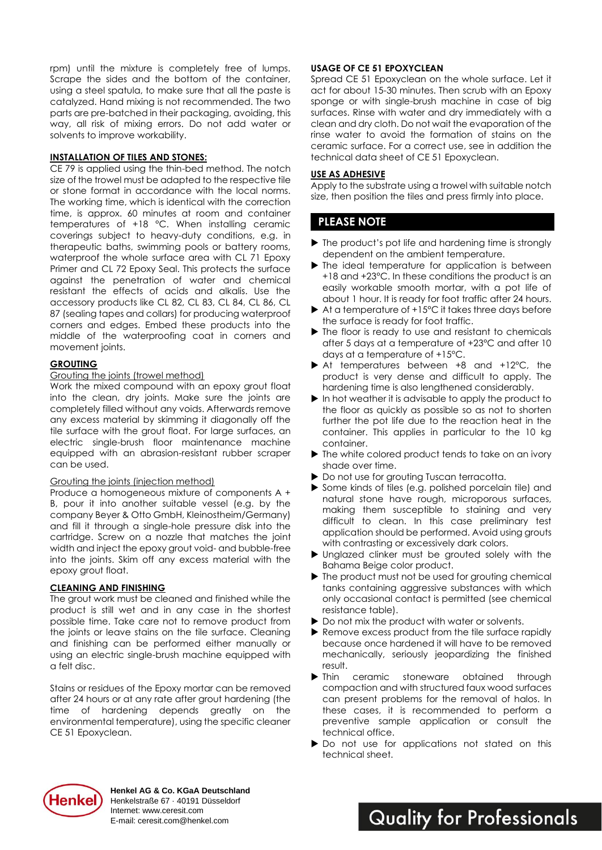rpm) until the mixture is completely free of lumps. Scrape the sides and the bottom of the container, using a steel spatula, to make sure that all the paste is catalyzed. Hand mixing is not recommended. The two parts are pre-batched in their packaging, avoiding, this way, all risk of mixing errors. Do not add water or solvents to improve workability.

### **INSTALLATION OF TILES AND STONES:**

CE 79 is applied using the thin-bed method. The notch size of the trowel must be adapted to the respective tile or stone format in accordance with the local norms. The working time, which is identical with the correction time, is approx. 60 minutes at room and container temperatures of +18 °C. When installing ceramic coverings subject to heavy-duty conditions, e.g. in therapeutic baths, swimming pools or battery rooms, waterproof the whole surface area with CL 71 Epoxy Primer and CL 72 Epoxy Seal. This protects the surface against the penetration of water and chemical resistant the effects of acids and alkalis. Use the accessory products like CL 82, CL 83, CL 84, CL 86, CL 87 (sealing tapes and collars) for producing waterproof corners and edges. Embed these products into the middle of the waterproofing coat in corners and movement joints.

#### **GROUTING**

#### Grouting the joints (trowel method)

Work the mixed compound with an epoxy grout float into the clean, dry joints. Make sure the joints are completely filled without any voids. Afterwards remove any excess material by skimming it diagonally off the tile surface with the grout float. For large surfaces, an electric single-brush floor maintenance machine equipped with an abrasion-resistant rubber scraper can be used.

#### Grouting the joints (injection method)

Produce a homogeneous mixture of components A + B, pour it into another suitable vessel (e.g. by the company Beyer & Otto GmbH, Kleinostheim/Germany) and fill it through a single-hole pressure disk into the cartridge. Screw on a nozzle that matches the joint width and inject the epoxy grout void- and bubble-free into the joints. Skim off any excess material with the epoxy grout float.

#### **CLEANING AND FINISHING**

The grout work must be cleaned and finished while the product is still wet and in any case in the shortest possible time. Take care not to remove product from the joints or leave stains on the tile surface. Cleaning and finishing can be performed either manually or using an electric single-brush machine equipped with a felt disc.

Stains or residues of the Epoxy mortar can be removed after 24 hours or at any rate after grout hardening (the time of hardening depends greatly on the environmental temperature), using the specific cleaner CE 51 Epoxyclean.

#### **USAGE OF CE 51 EPOXYCLEAN**

Spread CE 51 Epoxyclean on the whole surface. Let it act for about 15-30 minutes. Then scrub with an Epoxy sponge or with single-brush machine in case of big surfaces. Rinse with water and dry immediately with a clean and dry cloth. Do not wait the evaporation of the rinse water to avoid the formation of stains on the ceramic surface. For a correct use, see in addition the technical data sheet of CE 51 Epoxyclean.

#### **USE AS ADHESIVE**

Apply to the substrate using a trowel with suitable notch size, then position the tiles and press firmly into place.

## **PLEASE NOTE**

- $\blacktriangleright$  The product's pot life and hardening time is strongly dependent on the ambient temperature.
- $\blacktriangleright$  The ideal temperature for application is between +18 and +23°C. In these conditions the product is an easily workable smooth mortar, with a pot life of about 1 hour. It is ready for foot traffic after 24 hours.
- $\blacktriangleright$  At a temperature of +15 $^{\circ}$ C it takes three days before the surface is ready for foot traffic.
- $\blacktriangleright$  The floor is ready to use and resistant to chemicals after 5 days at a temperature of +23°C and after 10 days at a temperature of +15°C.
- At temperatures between +8 and +12°C, the product is very dense and difficult to apply. The hardening time is also lengthened considerably.
- $\blacktriangleright$  In hot weather it is advisable to apply the product to the floor as quickly as possible so as not to shorten further the pot life due to the reaction heat in the container. This applies in particular to the 10 kg container.
- $\blacktriangleright$  The white colored product tends to take on an ivory shade over time.
- ▶ Do not use for grouting Tuscan terracotta.
- Some kinds of tiles (e.g. polished porcelain tile) and natural stone have rough, microporous surfaces, making them susceptible to staining and very difficult to clean. In this case preliminary test application should be performed. Avoid using grouts with contrasting or excessively dark colors.
- Unglazed clinker must be grouted solely with the Bahama Beige color product.
- ▶ The product must not be used for grouting chemical tanks containing aggressive substances with which only occasional contact is permitted (see chemical resistance table).
- Do not mix the product with water or solvents.
- Remove excess product from the tile surface rapidly because once hardened it will have to be removed mechanically, seriously jeopardizing the finished result.
- Inin ceramic stoneware obtained through compaction and with structured faux wood surfaces can present problems for the removal of halos. In these cases, it is recommended to perform a preventive sample application or consult the technical office.
- ▶ Do not use for applications not stated on this technical sheet.



**Henkel AG & Co. KGaA Deutschland** Henkelstraße 67 · 40191 Düsseldorf Internet: www.ceresit.com E-mail: ceresit.com@henkel.com

**Quality for Professionals**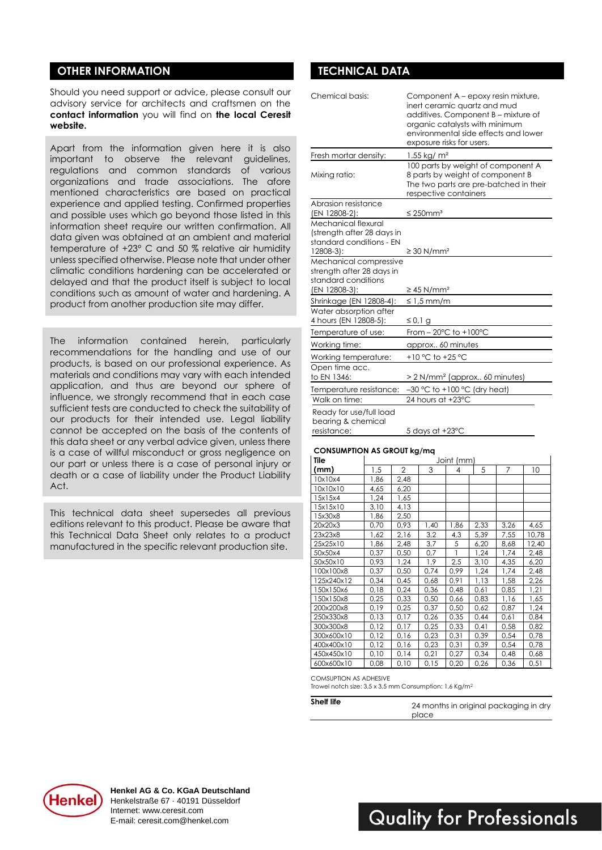# **OTHER INFORMATION DESCRIPTION DESCRIPTION RESOLUTION DESCRIPTION DESCRIPTION OF A LICENSE OF A LICENSE OF A LICENSE OF A LICENSE OF A LICENSE OF A LICENSE OF A LICENSE OF A LICENSE OF A LICENSE OF A LICENSE OF A LICENSE O**

Should you need support or advice, please consult our advisory service for architects and craftsmen on the **contact information** you will find on **the local Ceresit website.**

Apart from the information given here it is also important to observe the relevant guidelines, regulations and common standards of various organizations and trade associations. The afore mentioned characteristics are based on practical experience and applied testing. Confirmed properties and possible uses which go beyond those listed in this information sheet require our written confirmation. All data given was obtained at an ambient and material temperature of +23° C and 50 % relative air humidity unless specified otherwise. Please note that under other climatic conditions hardening can be accelerated or delayed and that the product itself is subject to local conditions such as amount of water and hardening. A product from another production site may differ.

The information contained herein, particularly recommendations for the handling and use of our products, is based on our professional experience. As materials and conditions may vary with each intended application, and thus are beyond our sphere of influence, we strongly recommend that in each case sufficient tests are conducted to check the suitability of our products for their intended use. Legal liability cannot be accepted on the basis of the contents of this data sheet or any verbal advice given, unless there is a case of willful misconduct or gross negligence on our part or unless there is a case of personal injury or death or a case of liability under the Product Liability Act.

This technical data sheet supersedes all previous editions relevant to this product. Please be aware that this Technical Data Sheet only relates to a product manufactured in the specific relevant production site.

| Chemical basis:                                                                              | Component A – epoxy resin mixture,<br>inert ceramic quartz and mud<br>additives. Component B - mixture of<br>organic catalysts with minimum<br>environmental side effects and lower<br>exposure risks for users. |
|----------------------------------------------------------------------------------------------|------------------------------------------------------------------------------------------------------------------------------------------------------------------------------------------------------------------|
| Fresh mortar density:                                                                        | 1.55 kg/ $m2$                                                                                                                                                                                                    |
| Mixing ratio:                                                                                | 100 parts by weight of component A<br>8 parts by weight of component B<br>The two parts are pre-batched in their<br>respective containers                                                                        |
| Abrasion resistance                                                                          |                                                                                                                                                                                                                  |
| (EN 12808-2):                                                                                | $\leq$ 250mm <sup>3</sup>                                                                                                                                                                                        |
| Mechanical flexural<br>(strength after 28 days in<br>standard conditions - EN<br>$12808-3$ : | $\geq$ 30 N/mm <sup>2</sup>                                                                                                                                                                                      |
| Mechanical compressive<br>strength after 28 days in<br>standard conditions<br>(EN 12808-3):  | $\geq$ 45 N/mm <sup>2</sup>                                                                                                                                                                                      |
| Shrinkage (EN 12808-4):                                                                      | $\leq 1.5$ mm/m                                                                                                                                                                                                  |
| Water absorption after<br>4 hours (EN 12808-5):                                              | ≤ 0,1 g                                                                                                                                                                                                          |
| Temperature of use:                                                                          | From $-20^{\circ}$ C to $+100^{\circ}$ C                                                                                                                                                                         |
| Working time:                                                                                | approx 60 minutes                                                                                                                                                                                                |
| Working temperature:                                                                         | +10 °C to +25 °C                                                                                                                                                                                                 |
| Open time acc.<br>to EN 1346:                                                                | > 2 N/mm <sup>2</sup> (approx 60 minutes)                                                                                                                                                                        |
| Temperature resistance:                                                                      | $-30$ °C to +100 °C (dry heat)                                                                                                                                                                                   |
| Walk on time:                                                                                | 24 hours at +23°C                                                                                                                                                                                                |
| Ready for use/full load<br>bearing & chemical<br>resistance:                                 | 5 days at +23°C                                                                                                                                                                                                  |

#### **CONSUMPTION AS GROUT kg/mq**

| Tile       | Joint (mm) |                |      |      |      |      |       |
|------------|------------|----------------|------|------|------|------|-------|
| (mm)       | 1,5        | $\overline{2}$ | 3    | 4    | 5    | 7    | 10    |
| 10x10x4    | 1,86       | 2,48           |      |      |      |      |       |
| 10x10x10   | 4,65       | 6,20           |      |      |      |      |       |
| 15x15x4    | 1,24       | 1,65           |      |      |      |      |       |
| 15x15x10   | 3,10       | 4,13           |      |      |      |      |       |
| 15x30x8    | 1,86       | 2,50           |      |      |      |      |       |
| 20x20x3    | 0,70       | 0,93           | 1,40 | 1,86 | 2,33 | 3,26 | 4,65  |
| 23x23x8    | 1,62       | 2,16           | 3,2  | 4,3  | 5,39 | 7,55 | 10,78 |
| 25x25x10   | 1,86       | 2,48           | 3,7  | 5    | 6,20 | 8,68 | 12,40 |
| 50x50x4    | 0,37       | 0,50           | 0,7  | 1    | 1,24 | 1,74 | 2,48  |
| 50x50x10   | 0,93       | 1,24           | 1,9  | 2,5  | 3,10 | 4,35 | 6,20  |
| 100x100x8  | 0,37       | 0,50           | 0,74 | 0,99 | 1,24 | 1,74 | 2,48  |
| 125x240x12 | 0,34       | 0,45           | 0,68 | 0,91 | 1,13 | 1,58 | 2,26  |
| 150x150x6  | 0,18       | 0,24           | 0,36 | 0,48 | 0,61 | 0,85 | 1,21  |
| 150x150x8  | 0,25       | 0,33           | 0,50 | 0,66 | 0,83 | 1,16 | 1,65  |
| 200x200x8  | 0,19       | 0,25           | 0,37 | 0,50 | 0,62 | 0,87 | 1,24  |
| 250x330x8  | 0,13       | 0,17           | 0,26 | 0,35 | 0,44 | 0,61 | 0,84  |
| 300x300x8  | 0,12       | 0,17           | 0,25 | 0,33 | 0,41 | 0,58 | 0,82  |
| 300x600x10 | 0,12       | 0,16           | 0,23 | 0,31 | 0,39 | 0,54 | 0,78  |
| 400x400x10 | 0,12       | 0,16           | 0,23 | 0,31 | 0,39 | 0,54 | 0,78  |
| 450x450x10 | 0,10       | 0,14           | 0,21 | 0,27 | 0,34 | 0,48 | 0,68  |
| 600x600x10 | 0,08       | 0,10           | 0,15 | 0,20 | 0,26 | 0,36 | 0,51  |

COMSUPTION AS ADHESIVE

Trowel notch size: 3,5 x 3,5 mm Consumption: 1,6 Kg/m<sup>2</sup>

| Shelf life | 24 months in original packaging in dry |
|------------|----------------------------------------|
|            | place                                  |



**Quality for Professionals**